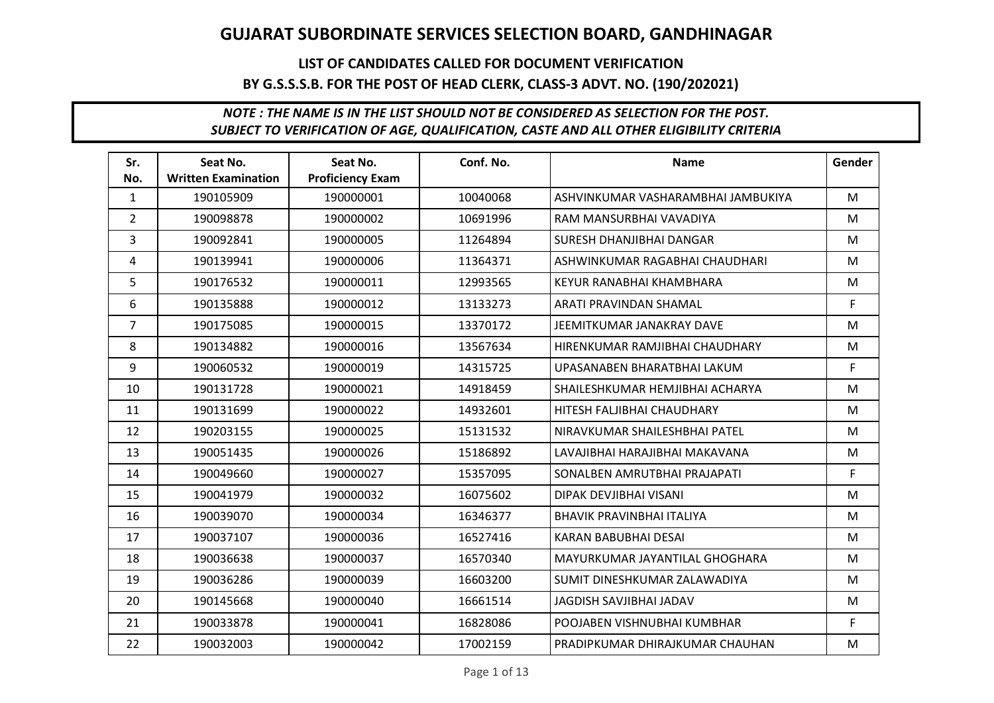## LIST OF CANDIDATES CALLED FOR DOCUMENT VERIFICATION BY G.S.S.S.B. FOR THE POST OF HEAD CLERK, CLASS-3 ADVT. NO. (190/202021)

| Sr.            | Seat No.                   | Seat No.                | Conf. No. | <b>Name</b>                        | Gender |
|----------------|----------------------------|-------------------------|-----------|------------------------------------|--------|
| No.            | <b>Written Examination</b> | <b>Proficiency Exam</b> |           |                                    |        |
| $\mathbf{1}$   | 190105909                  | 190000001               | 10040068  | ASHVINKUMAR VASHARAMBHAI JAMBUKIYA | M      |
| $\overline{2}$ | 190098878                  | 190000002               | 10691996  | RAM MANSURBHAI VAVADIYA            | M      |
| 3              | 190092841                  | 190000005               | 11264894  | SURESH DHANJIBHAI DANGAR           | M      |
| 4              | 190139941                  | 190000006               | 11364371  | ASHWINKUMAR RAGABHAI CHAUDHARI     | M      |
| 5              | 190176532                  | 190000011               | 12993565  | KEYUR RANABHAI KHAMBHARA           | M      |
| 6              | 190135888                  | 190000012               | 13133273  | ARATI PRAVINDAN SHAMAL             | F.     |
| $\overline{7}$ | 190175085                  | 190000015               | 13370172  | <b>JEEMITKUMAR JANAKRAY DAVE</b>   | M      |
| 8              | 190134882                  | 190000016               | 13567634  | HIRENKUMAR RAMJIBHAI CHAUDHARY     | M      |
| 9              | 190060532                  | 190000019               | 14315725  | UPASANABEN BHARATBHAI LAKUM        | F      |
| 10             | 190131728                  | 190000021               | 14918459  | SHAILESHKUMAR HEMJIBHAI ACHARYA    | M      |
| 11             | 190131699                  | 190000022               | 14932601  | HITESH FALJIBHAI CHAUDHARY         | M      |
| 12             | 190203155                  | 190000025               | 15131532  | NIRAVKUMAR SHAILESHBHAI PATEL      | M      |
| 13             | 190051435                  | 190000026               | 15186892  | LAVAJIBHAI HARAJIBHAI MAKAVANA     | M      |
| 14             | 190049660                  | 190000027               | 15357095  | SONALBEN AMRUTBHAI PRAJAPATI       | F.     |
| 15             | 190041979                  | 190000032               | 16075602  | DIPAK DEVJIBHAI VISANI             | M      |
| 16             | 190039070                  | 190000034               | 16346377  | <b>BHAVIK PRAVINBHAI ITALIYA</b>   | M      |
| 17             | 190037107                  | 190000036               | 16527416  | KARAN BABUBHAI DESAI               | M      |
| 18             | 190036638                  | 190000037               | 16570340  | MAYURKUMAR JAYANTILAL GHOGHARA     | M      |
| 19             | 190036286                  | 190000039               | 16603200  | SUMIT DINESHKUMAR ZALAWADIYA       | M      |
| 20             | 190145668                  | 190000040               | 16661514  | JAGDISH SAVJIBHAI JADAV            | M      |
| 21             | 190033878                  | 190000041               | 16828086  | POOJABEN VISHNUBHAI KUMBHAR        | F      |
| 22             | 190032003                  | 190000042               | 17002159  | PRADIPKUMAR DHIRAJKUMAR CHAUHAN    | M      |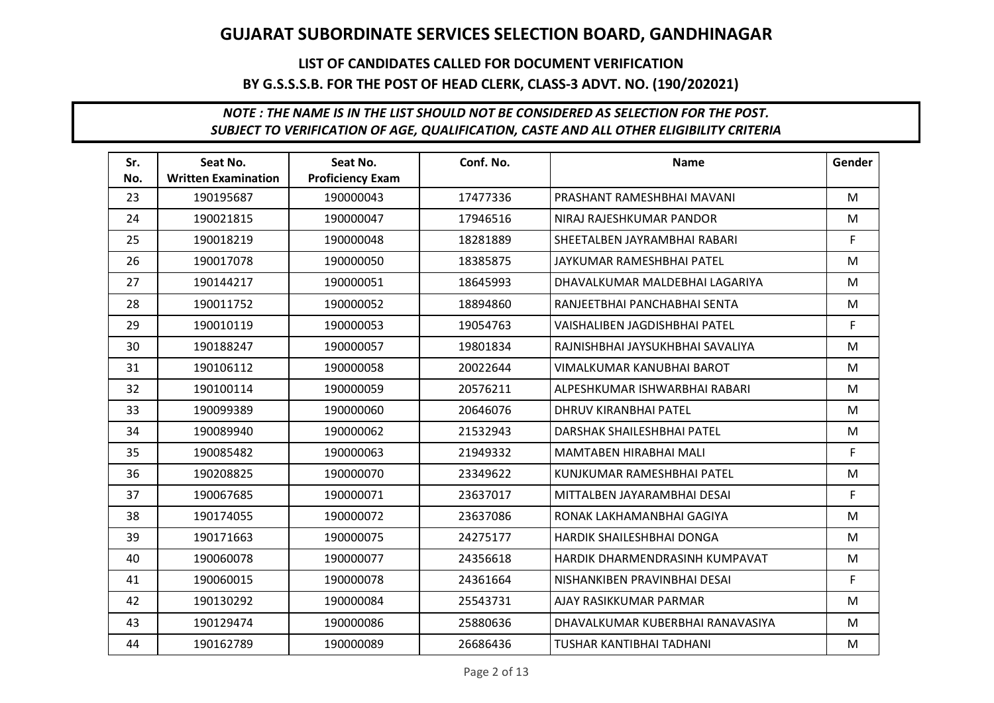## LIST OF CANDIDATES CALLED FOR DOCUMENT VERIFICATION BY G.S.S.S.B. FOR THE POST OF HEAD CLERK, CLASS-3 ADVT. NO. (190/202021)

| Sr. | Seat No.                   | Seat No.                | Conf. No. | <b>Name</b>                          | Gender |
|-----|----------------------------|-------------------------|-----------|--------------------------------------|--------|
| No. | <b>Written Examination</b> | <b>Proficiency Exam</b> |           |                                      |        |
| 23  | 190195687                  | 190000043               | 17477336  | PRASHANT RAMESHBHAI MAVANI           | M      |
| 24  | 190021815                  | 190000047               | 17946516  | NIRAJ RAJESHKUMAR PANDOR             | M      |
| 25  | 190018219                  | 190000048               | 18281889  | SHEETALBEN JAYRAMBHAI RABARI         | F.     |
| 26  | 190017078                  | 190000050               | 18385875  | JAYKUMAR RAMESHBHAI PATEL            | M      |
| 27  | 190144217                  | 190000051               | 18645993  | DHAVALKUMAR MALDEBHAI LAGARIYA       | M      |
| 28  | 190011752                  | 190000052               | 18894860  | RANJEETBHAI PANCHABHAI SENTA         | M      |
| 29  | 190010119                  | 190000053               | 19054763  | <b>VAISHALIBEN JAGDISHBHAI PATEL</b> | F.     |
| 30  | 190188247                  | 190000057               | 19801834  | RAJNISHBHAI JAYSUKHBHAI SAVALIYA     | M      |
| 31  | 190106112                  | 190000058               | 20022644  | VIMALKUMAR KANUBHAI BAROT            | M      |
| 32  | 190100114                  | 190000059               | 20576211  | ALPESHKUMAR ISHWARBHAI RABARI        | M      |
| 33  | 190099389                  | 190000060               | 20646076  | <b>DHRUV KIRANBHAI PATEL</b>         | M      |
| 34  | 190089940                  | 190000062               | 21532943  | DARSHAK SHAILESHBHAI PATEL           | M      |
| 35  | 190085482                  | 190000063               | 21949332  | MAMTABEN HIRABHAI MALI               | F.     |
| 36  | 190208825                  | 190000070               | 23349622  | KUNJKUMAR RAMESHBHAI PATEL           | M      |
| 37  | 190067685                  | 190000071               | 23637017  | MITTALBEN JAYARAMBHAI DESAI          | F.     |
| 38  | 190174055                  | 190000072               | 23637086  | RONAK LAKHAMANBHAI GAGIYA            | M      |
| 39  | 190171663                  | 190000075               | 24275177  | HARDIK SHAILESHBHAI DONGA            | M      |
| 40  | 190060078                  | 190000077               | 24356618  | HARDIK DHARMENDRASINH KUMPAVAT       | M      |
| 41  | 190060015                  | 190000078               | 24361664  | NISHANKIBEN PRAVINBHAI DESAI         | F      |
| 42  | 190130292                  | 190000084               | 25543731  | AJAY RASIKKUMAR PARMAR               | M      |
| 43  | 190129474                  | 190000086               | 25880636  | DHAVALKUMAR KUBERBHAI RANAVASIYA     | M      |
| 44  | 190162789                  | 190000089               | 26686436  | <b>TUSHAR KANTIBHAI TADHANI</b>      | M      |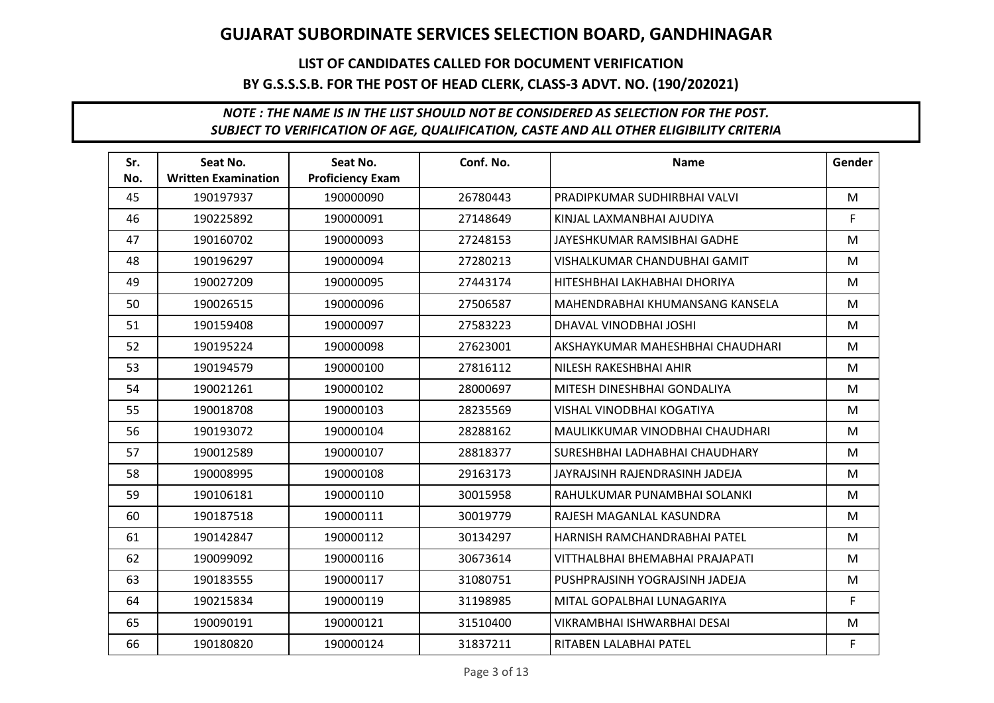## LIST OF CANDIDATES CALLED FOR DOCUMENT VERIFICATION BY G.S.S.S.B. FOR THE POST OF HEAD CLERK, CLASS-3 ADVT. NO. (190/202021)

| Sr. | Seat No.                   | Seat No.                | Conf. No. | <b>Name</b>                      | Gender |
|-----|----------------------------|-------------------------|-----------|----------------------------------|--------|
| No. | <b>Written Examination</b> | <b>Proficiency Exam</b> |           |                                  |        |
| 45  | 190197937                  | 190000090               | 26780443  | PRADIPKUMAR SUDHIRBHAI VALVI     | M      |
| 46  | 190225892                  | 190000091               | 27148649  | KINJAL LAXMANBHAI AJUDIYA        | F      |
| 47  | 190160702                  | 190000093               | 27248153  | JAYESHKUMAR RAMSIBHAI GADHE      | M      |
| 48  | 190196297                  | 190000094               | 27280213  | VISHALKUMAR CHANDUBHAI GAMIT     | M      |
| 49  | 190027209                  | 190000095               | 27443174  | HITESHBHAI LAKHABHAI DHORIYA     | M      |
| 50  | 190026515                  | 190000096               | 27506587  | MAHENDRABHAI KHUMANSANG KANSELA  | M      |
| 51  | 190159408                  | 190000097               | 27583223  | DHAVAL VINODBHAI JOSHI           | M      |
| 52  | 190195224                  | 190000098               | 27623001  | AKSHAYKUMAR MAHESHBHAI CHAUDHARI | M      |
| 53  | 190194579                  | 190000100               | 27816112  | NILESH RAKESHBHAI AHIR           | M      |
| 54  | 190021261                  | 190000102               | 28000697  | MITESH DINESHBHAI GONDALIYA      | M      |
| 55  | 190018708                  | 190000103               | 28235569  | <b>VISHAL VINODBHAI KOGATIYA</b> | M      |
| 56  | 190193072                  | 190000104               | 28288162  | MAULIKKUMAR VINODBHAI CHAUDHARI  | M      |
| 57  | 190012589                  | 190000107               | 28818377  | SURESHBHAI LADHABHAI CHAUDHARY   | M      |
| 58  | 190008995                  | 190000108               | 29163173  | JAYRAJSINH RAJENDRASINH JADEJA   | M      |
| 59  | 190106181                  | 190000110               | 30015958  | RAHULKUMAR PUNAMBHAI SOLANKI     | M      |
| 60  | 190187518                  | 190000111               | 30019779  | RAJESH MAGANLAL KASUNDRA         | M      |
| 61  | 190142847                  | 190000112               | 30134297  | HARNISH RAMCHANDRABHAI PATEL     | M      |
| 62  | 190099092                  | 190000116               | 30673614  | VITTHALBHAI BHEMABHAI PRAJAPATI  | M      |
| 63  | 190183555                  | 190000117               | 31080751  | PUSHPRAJSINH YOGRAJSINH JADEJA   | M      |
| 64  | 190215834                  | 190000119               | 31198985  | MITAL GOPALBHAI LUNAGARIYA       | F.     |
| 65  | 190090191                  | 190000121               | 31510400  | VIKRAMBHAI ISHWARBHAI DESAI      | M      |
| 66  | 190180820                  | 190000124               | 31837211  | RITABEN LALABHAI PATEL           | F.     |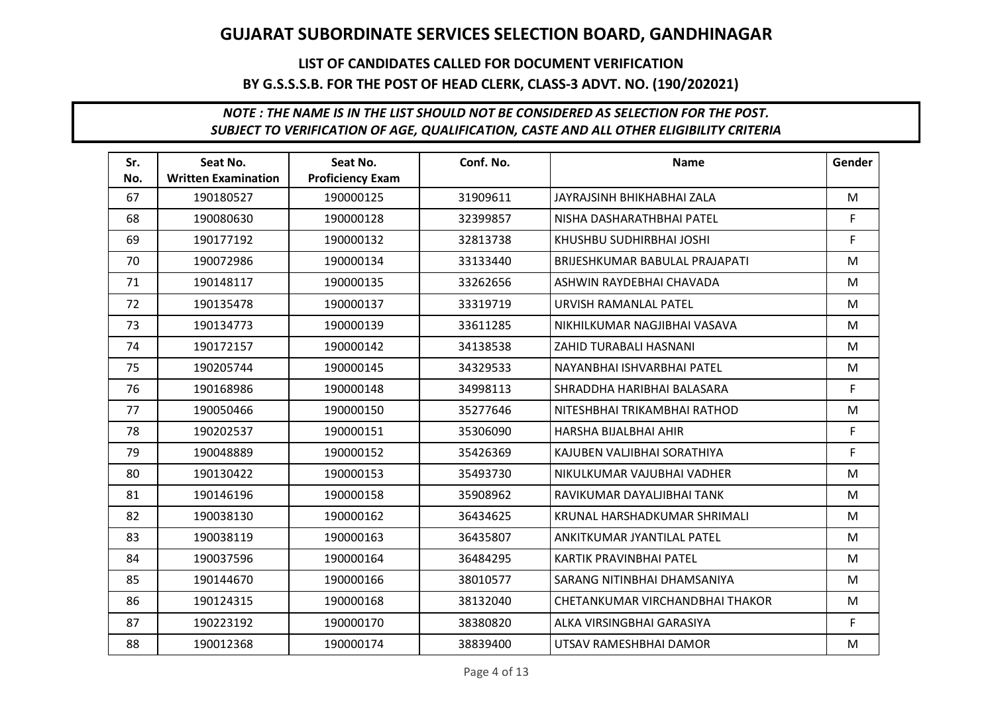## LIST OF CANDIDATES CALLED FOR DOCUMENT VERIFICATION BY G.S.S.S.B. FOR THE POST OF HEAD CLERK, CLASS-3 ADVT. NO. (190/202021)

| Sr. | Seat No.                   | Seat No.                | Conf. No. | <b>Name</b>                     | Gender |
|-----|----------------------------|-------------------------|-----------|---------------------------------|--------|
| No. | <b>Written Examination</b> | <b>Proficiency Exam</b> |           |                                 |        |
| 67  | 190180527                  | 190000125               | 31909611  | JAYRAJSINH BHIKHABHAI ZALA      | M      |
| 68  | 190080630                  | 190000128               | 32399857  | NISHA DASHARATHBHAI PATEL       | F      |
| 69  | 190177192                  | 190000132               | 32813738  | KHUSHBU SUDHIRBHAI JOSHI        | F.     |
| 70  | 190072986                  | 190000134               | 33133440  | BRIJESHKUMAR BABULAL PRAJAPATI  | M      |
| 71  | 190148117                  | 190000135               | 33262656  | ASHWIN RAYDEBHAI CHAVADA        | M      |
| 72  | 190135478                  | 190000137               | 33319719  | URVISH RAMANLAL PATEL           | M      |
| 73  | 190134773                  | 190000139               | 33611285  | NIKHILKUMAR NAGJIBHAI VASAVA    | M      |
| 74  | 190172157                  | 190000142               | 34138538  | ZAHID TURABALI HASNANI          | M      |
| 75  | 190205744                  | 190000145               | 34329533  | NAYANBHAI ISHVARBHAI PATEL      | M      |
| 76  | 190168986                  | 190000148               | 34998113  | SHRADDHA HARIBHAI BALASARA      | F.     |
| 77  | 190050466                  | 190000150               | 35277646  | NITESHBHAI TRIKAMBHAI RATHOD    | M      |
| 78  | 190202537                  | 190000151               | 35306090  | HARSHA BIJALBHAI AHIR           | F      |
| 79  | 190048889                  | 190000152               | 35426369  | KAJUBEN VALJIBHAI SORATHIYA     | F.     |
| 80  | 190130422                  | 190000153               | 35493730  | NIKULKUMAR VAJUBHAI VADHER      | M      |
| 81  | 190146196                  | 190000158               | 35908962  | RAVIKUMAR DAYALJIBHAI TANK      | M      |
| 82  | 190038130                  | 190000162               | 36434625  | KRUNAL HARSHADKUMAR SHRIMALI    | M      |
| 83  | 190038119                  | 190000163               | 36435807  | ANKITKUMAR JYANTILAL PATEL      | M      |
| 84  | 190037596                  | 190000164               | 36484295  | KARTIK PRAVINBHAI PATEL         | M      |
| 85  | 190144670                  | 190000166               | 38010577  | SARANG NITINBHAI DHAMSANIYA     | M      |
| 86  | 190124315                  | 190000168               | 38132040  | CHETANKUMAR VIRCHANDBHAI THAKOR | M      |
| 87  | 190223192                  | 190000170               | 38380820  | ALKA VIRSINGBHAI GARASIYA       | F.     |
| 88  | 190012368                  | 190000174               | 38839400  | UTSAV RAMESHBHAI DAMOR          | M      |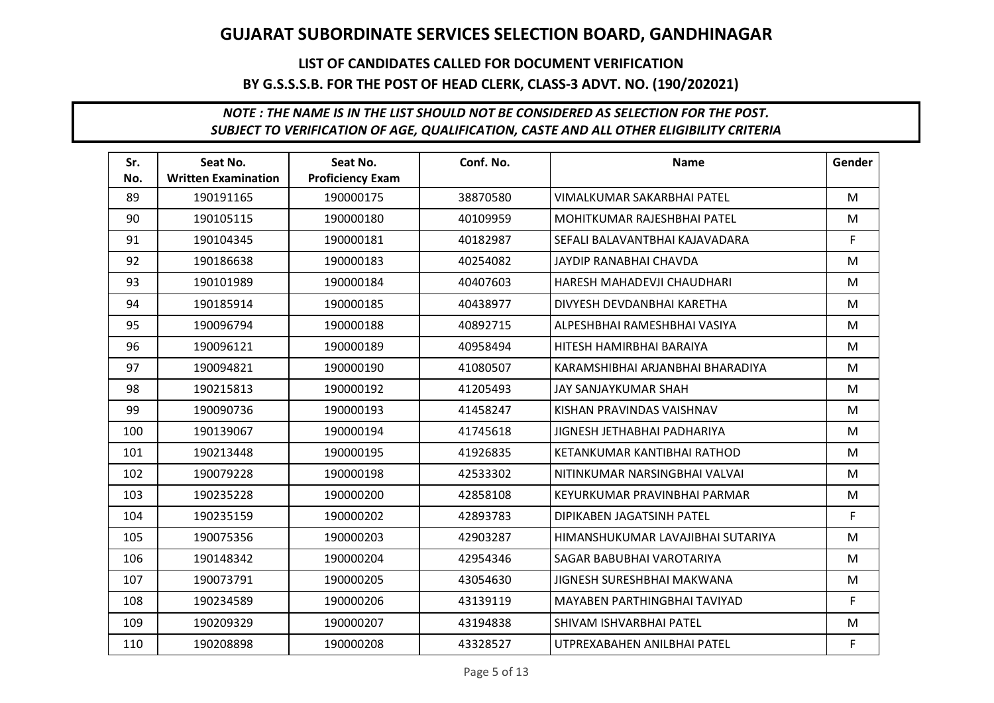## LIST OF CANDIDATES CALLED FOR DOCUMENT VERIFICATION BY G.S.S.S.B. FOR THE POST OF HEAD CLERK, CLASS-3 ADVT. NO. (190/202021)

| Sr. | Seat No.                   | Seat No.                | Conf. No. | <b>Name</b>                       | Gender |
|-----|----------------------------|-------------------------|-----------|-----------------------------------|--------|
| No. | <b>Written Examination</b> | <b>Proficiency Exam</b> |           |                                   |        |
| 89  | 190191165                  | 190000175               | 38870580  | VIMALKUMAR SAKARBHAI PATEL        | M      |
| 90  | 190105115                  | 190000180               | 40109959  | MOHITKUMAR RAJESHBHAI PATEL       | M      |
| 91  | 190104345                  | 190000181               | 40182987  | SEFALI BALAVANTBHAI KAJAVADARA    | F.     |
| 92  | 190186638                  | 190000183               | 40254082  | JAYDIP RANABHAI CHAVDA            | M      |
| 93  | 190101989                  | 190000184               | 40407603  | HARESH MAHADEVJI CHAUDHARI        | M      |
| 94  | 190185914                  | 190000185               | 40438977  | DIVYESH DEVDANBHAI KARETHA        | M      |
| 95  | 190096794                  | 190000188               | 40892715  | ALPESHBHAI RAMESHBHAI VASIYA      | M      |
| 96  | 190096121                  | 190000189               | 40958494  | HITESH HAMIRBHAI BARAIYA          | M      |
| 97  | 190094821                  | 190000190               | 41080507  | KARAMSHIBHAI ARJANBHAI BHARADIYA  | M      |
| 98  | 190215813                  | 190000192               | 41205493  | JAY SANJAYKUMAR SHAH              | M      |
| 99  | 190090736                  | 190000193               | 41458247  | KISHAN PRAVINDAS VAISHNAV         | M      |
| 100 | 190139067                  | 190000194               | 41745618  | JIGNESH JETHABHAI PADHARIYA       | M      |
| 101 | 190213448                  | 190000195               | 41926835  | KETANKUMAR KANTIBHAI RATHOD       | M      |
| 102 | 190079228                  | 190000198               | 42533302  | NITINKUMAR NARSINGBHAI VALVAI     | M      |
| 103 | 190235228                  | 190000200               | 42858108  | KEYURKUMAR PRAVINBHAI PARMAR      | M      |
| 104 | 190235159                  | 190000202               | 42893783  | DIPIKABEN JAGATSINH PATEL         | F.     |
| 105 | 190075356                  | 190000203               | 42903287  | HIMANSHUKUMAR LAVAJIBHAI SUTARIYA | M      |
| 106 | 190148342                  | 190000204               | 42954346  | SAGAR BABUBHAI VAROTARIYA         | M      |
| 107 | 190073791                  | 190000205               | 43054630  | JIGNESH SURESHBHAI MAKWANA        | M      |
| 108 | 190234589                  | 190000206               | 43139119  | MAYABEN PARTHINGBHAI TAVIYAD      | F.     |
| 109 | 190209329                  | 190000207               | 43194838  | SHIVAM ISHVARBHAI PATEL           | M      |
| 110 | 190208898                  | 190000208               | 43328527  | UTPREXABAHEN ANILBHAI PATEL       | F.     |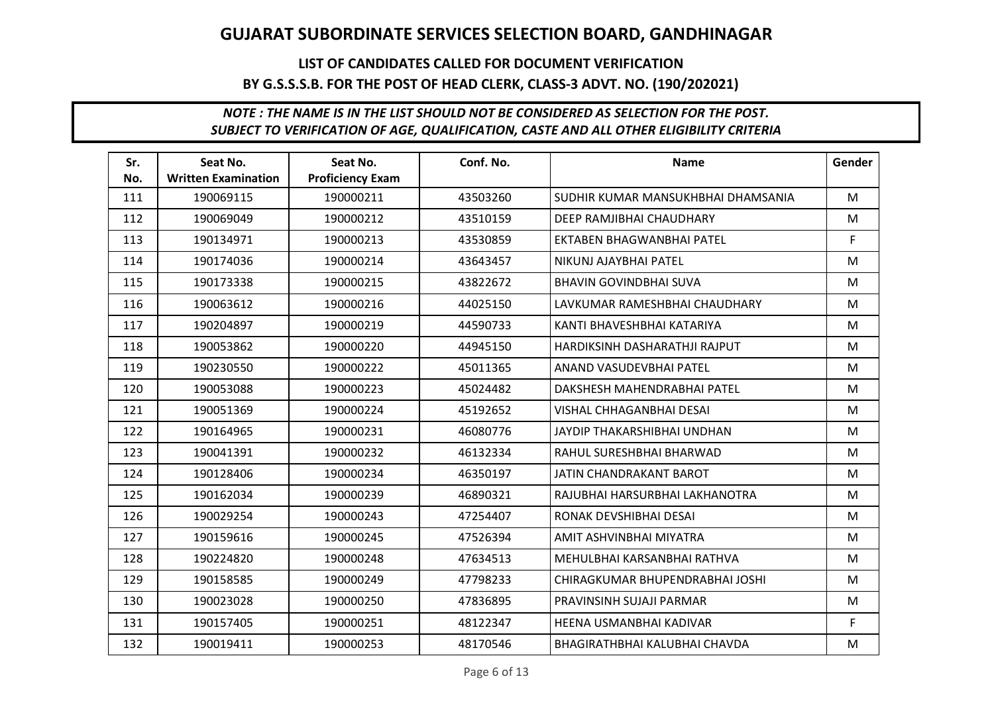## LIST OF CANDIDATES CALLED FOR DOCUMENT VERIFICATION BY G.S.S.S.B. FOR THE POST OF HEAD CLERK, CLASS-3 ADVT. NO. (190/202021)

| Sr.<br>No. | Seat No.<br><b>Written Examination</b> | Seat No.<br><b>Proficiency Exam</b> | Conf. No. | <b>Name</b>                        | Gender |
|------------|----------------------------------------|-------------------------------------|-----------|------------------------------------|--------|
| 111        | 190069115                              | 190000211                           | 43503260  | SUDHIR KUMAR MANSUKHBHAI DHAMSANIA | M      |
| 112        | 190069049                              | 190000212                           | 43510159  | DEEP RAMJIBHAI CHAUDHARY           | M      |
| 113        | 190134971                              | 190000213                           | 43530859  | EKTABEN BHAGWANBHAI PATEL          | F.     |
| 114        | 190174036                              | 190000214                           | 43643457  | NIKUNJ AJAYBHAI PATEL              | M      |
| 115        | 190173338                              | 190000215                           | 43822672  | <b>BHAVIN GOVINDBHAI SUVA</b>      | M      |
| 116        | 190063612                              | 190000216                           | 44025150  | LAVKUMAR RAMESHBHAI CHAUDHARY      | M      |
| 117        | 190204897                              | 190000219                           | 44590733  | KANTI BHAVESHBHAI KATARIYA         | M      |
| 118        | 190053862                              | 190000220                           | 44945150  | HARDIKSINH DASHARATHJI RAJPUT      | M      |
| 119        | 190230550                              | 190000222                           | 45011365  | ANAND VASUDEVBHAI PATEL            | M      |
| 120        | 190053088                              | 190000223                           | 45024482  | DAKSHESH MAHENDRABHAI PATEL        | M      |
| 121        | 190051369                              | 190000224                           | 45192652  | VISHAL CHHAGANBHAI DESAI           | M      |
| 122        | 190164965                              | 190000231                           | 46080776  | JAYDIP THAKARSHIBHAI UNDHAN        | M      |
| 123        | 190041391                              | 190000232                           | 46132334  | RAHUL SURESHBHAI BHARWAD           | M      |
| 124        | 190128406                              | 190000234                           | 46350197  | <b>JATIN CHANDRAKANT BAROT</b>     | M      |
| 125        | 190162034                              | 190000239                           | 46890321  | RAJUBHAI HARSURBHAI LAKHANOTRA     | M      |
| 126        | 190029254                              | 190000243                           | 47254407  | RONAK DEVSHIBHAI DESAI             | M      |
| 127        | 190159616                              | 190000245                           | 47526394  | AMIT ASHVINBHAI MIYATRA            | M      |
| 128        | 190224820                              | 190000248                           | 47634513  | MEHULBHAI KARSANBHAI RATHVA        | M      |
| 129        | 190158585                              | 190000249                           | 47798233  | CHIRAGKUMAR BHUPENDRABHAI JOSHI    | M      |
| 130        | 190023028                              | 190000250                           | 47836895  | PRAVINSINH SUJAJI PARMAR           | M      |
| 131        | 190157405                              | 190000251                           | 48122347  | HEENA USMANBHAI KADIVAR            | F.     |
| 132        | 190019411                              | 190000253                           | 48170546  | BHAGIRATHBHAI KALUBHAI CHAVDA      | M      |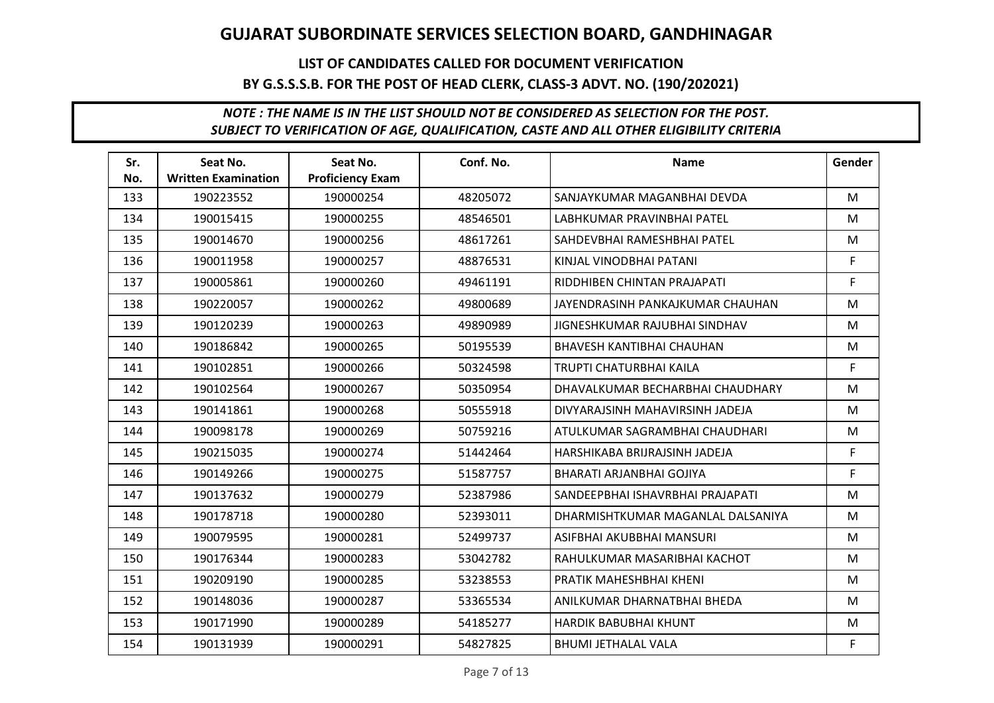## LIST OF CANDIDATES CALLED FOR DOCUMENT VERIFICATION BY G.S.S.S.B. FOR THE POST OF HEAD CLERK, CLASS-3 ADVT. NO. (190/202021)

| Sr.<br>No. | Seat No.<br><b>Written Examination</b> | Seat No.<br><b>Proficiency Exam</b> | Conf. No. | <b>Name</b>                       | Gender |
|------------|----------------------------------------|-------------------------------------|-----------|-----------------------------------|--------|
| 133        | 190223552                              | 190000254                           | 48205072  | SANJAYKUMAR MAGANBHAI DEVDA       | M      |
|            |                                        |                                     |           |                                   |        |
| 134        | 190015415                              | 190000255                           | 48546501  | LABHKUMAR PRAVINBHAI PATEL        | M      |
| 135        | 190014670                              | 190000256                           | 48617261  | SAHDEVBHAI RAMESHBHAI PATEL       | M      |
| 136        | 190011958                              | 190000257                           | 48876531  | KINJAL VINODBHAI PATANI           | F.     |
| 137        | 190005861                              | 190000260                           | 49461191  | RIDDHIBEN CHINTAN PRAJAPATI       | F      |
| 138        | 190220057                              | 190000262                           | 49800689  | JAYENDRASINH PANKAJKUMAR CHAUHAN  | M      |
| 139        | 190120239                              | 190000263                           | 49890989  | JIGNESHKUMAR RAJUBHAI SINDHAV     | M      |
| 140        | 190186842                              | 190000265                           | 50195539  | BHAVESH KANTIBHAI CHAUHAN         | M      |
| 141        | 190102851                              | 190000266                           | 50324598  | TRUPTI CHATURBHAI KAILA           | F.     |
| 142        | 190102564                              | 190000267                           | 50350954  | DHAVALKUMAR BECHARBHAI CHAUDHARY  | M      |
| 143        | 190141861                              | 190000268                           | 50555918  | DIVYARAJSINH MAHAVIRSINH JADEJA   | M      |
| 144        | 190098178                              | 190000269                           | 50759216  | ATULKUMAR SAGRAMBHAI CHAUDHARI    | M      |
| 145        | 190215035                              | 190000274                           | 51442464  | HARSHIKABA BRIJRAJSINH JADEJA     | F.     |
| 146        | 190149266                              | 190000275                           | 51587757  | <b>BHARATI ARJANBHAI GOJIYA</b>   | F.     |
| 147        | 190137632                              | 190000279                           | 52387986  | SANDEEPBHAI ISHAVRBHAI PRAJAPATI  | M      |
| 148        | 190178718                              | 190000280                           | 52393011  | DHARMISHTKUMAR MAGANLAL DALSANIYA | M      |
| 149        | 190079595                              | 190000281                           | 52499737  | ASIFBHAI AKUBBHAI MANSURI         | M      |
| 150        | 190176344                              | 190000283                           | 53042782  | RAHULKUMAR MASARIBHAI KACHOT      | M      |
| 151        | 190209190                              | 190000285                           | 53238553  | PRATIK MAHESHBHAI KHENI           | M      |
| 152        | 190148036                              | 190000287                           | 53365534  | ANILKUMAR DHARNATBHAI BHEDA       | M      |
| 153        | 190171990                              | 190000289                           | 54185277  | <b>HARDIK BABUBHAI KHUNT</b>      | M      |
| 154        | 190131939                              | 190000291                           | 54827825  | <b>BHUMI JETHALAL VALA</b>        | F.     |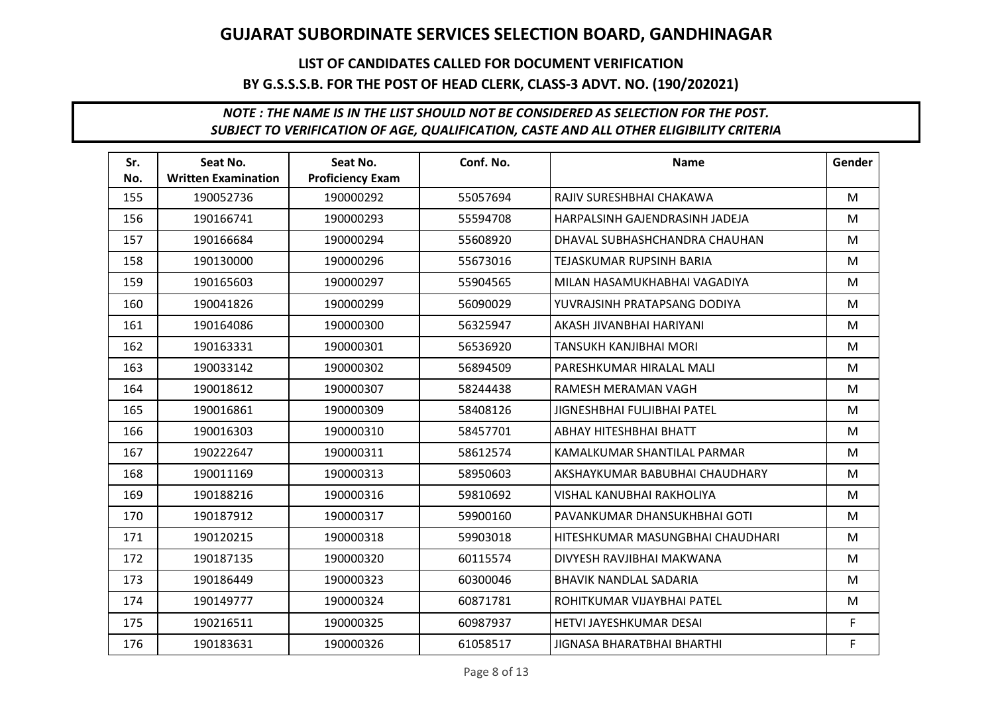## LIST OF CANDIDATES CALLED FOR DOCUMENT VERIFICATION BY G.S.S.S.B. FOR THE POST OF HEAD CLERK, CLASS-3 ADVT. NO. (190/202021)

| Sr.<br>No. | Seat No.<br><b>Written Examination</b> | Seat No.<br><b>Proficiency Exam</b> | Conf. No. | <b>Name</b>                      | Gender |
|------------|----------------------------------------|-------------------------------------|-----------|----------------------------------|--------|
| 155        | 190052736                              | 190000292                           | 55057694  | RAJIV SURESHBHAI CHAKAWA         | M      |
| 156        | 190166741                              | 190000293                           | 55594708  | HARPALSINH GAJENDRASINH JADEJA   | M      |
| 157        | 190166684                              | 190000294                           | 55608920  | DHAVAL SUBHASHCHANDRA CHAUHAN    | M      |
| 158        | 190130000                              | 190000296                           | 55673016  | <b>TEJASKUMAR RUPSINH BARIA</b>  | M      |
| 159        | 190165603                              | 190000297                           | 55904565  | MILAN HASAMUKHABHAI VAGADIYA     | M      |
| 160        | 190041826                              | 190000299                           | 56090029  | YUVRAJSINH PRATAPSANG DODIYA     | M      |
| 161        | 190164086                              | 190000300                           | 56325947  | AKASH JIVANBHAI HARIYANI         | M      |
| 162        | 190163331                              | 190000301                           | 56536920  | TANSUKH KANJIBHAI MORI           | M      |
| 163        | 190033142                              | 190000302                           | 56894509  | PARESHKUMAR HIRALAL MALI         | M      |
| 164        | 190018612                              | 190000307                           | 58244438  | RAMESH MERAMAN VAGH              | M      |
| 165        | 190016861                              | 190000309                           | 58408126  | JIGNESHBHAI FULJIBHAI PATEL      | M      |
| 166        | 190016303                              | 190000310                           | 58457701  | ABHAY HITESHBHAI BHATT           | M      |
| 167        | 190222647                              | 190000311                           | 58612574  | KAMALKUMAR SHANTILAL PARMAR      | M      |
| 168        | 190011169                              | 190000313                           | 58950603  | AKSHAYKUMAR BABUBHAI CHAUDHARY   | M      |
| 169        | 190188216                              | 190000316                           | 59810692  | VISHAL KANUBHAI RAKHOLIYA        | M      |
| 170        | 190187912                              | 190000317                           | 59900160  | PAVANKUMAR DHANSUKHBHAI GOTI     | M      |
| 171        | 190120215                              | 190000318                           | 59903018  | HITESHKUMAR MASUNGBHAI CHAUDHARI | M      |
| 172        | 190187135                              | 190000320                           | 60115574  | DIVYESH RAVJIBHAI MAKWANA        | M      |
| 173        | 190186449                              | 190000323                           | 60300046  | <b>BHAVIK NANDLAL SADARIA</b>    | M      |
| 174        | 190149777                              | 190000324                           | 60871781  | ROHITKUMAR VIJAYBHAI PATEL       | M      |
| 175        | 190216511                              | 190000325                           | 60987937  | HETVI JAYESHKUMAR DESAI          | F      |
| 176        | 190183631                              | 190000326                           | 61058517  | JIGNASA BHARATBHAI BHARTHI       | F.     |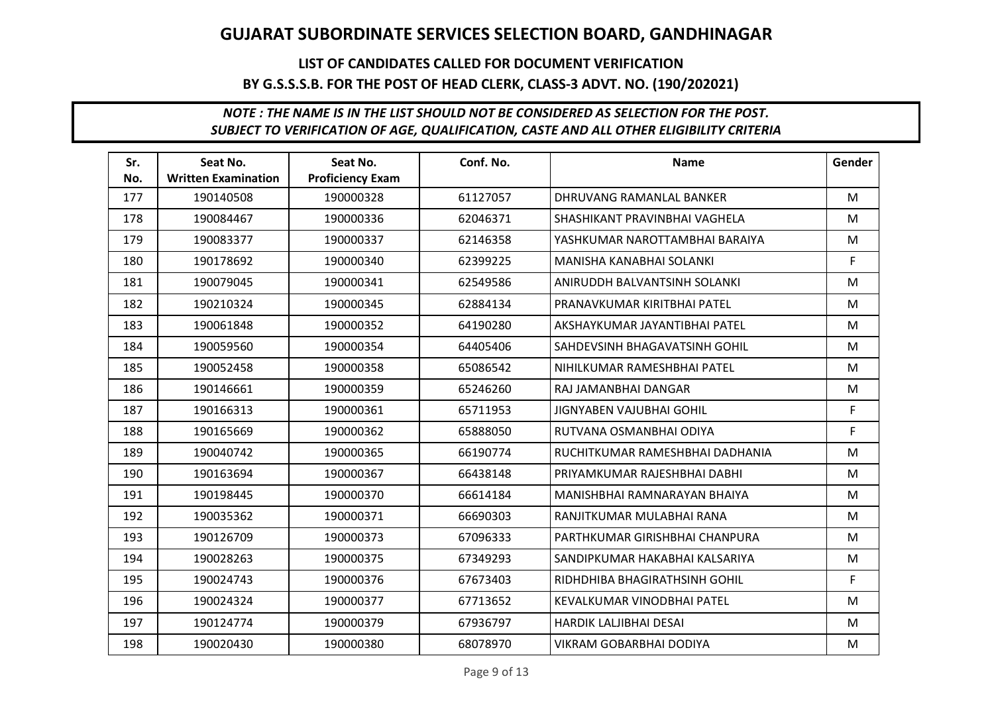## LIST OF CANDIDATES CALLED FOR DOCUMENT VERIFICATION BY G.S.S.S.B. FOR THE POST OF HEAD CLERK, CLASS-3 ADVT. NO. (190/202021)

| Sr.<br>No. | Seat No.<br><b>Written Examination</b> | Seat No.<br><b>Proficiency Exam</b> | Conf. No. | <b>Name</b>                     | Gender |
|------------|----------------------------------------|-------------------------------------|-----------|---------------------------------|--------|
| 177        | 190140508                              | 190000328                           | 61127057  | DHRUVANG RAMANLAL BANKER        | M      |
| 178        | 190084467                              | 190000336                           | 62046371  | SHASHIKANT PRAVINBHAI VAGHELA   | M      |
| 179        | 190083377                              | 190000337                           | 62146358  | YASHKUMAR NAROTTAMBHAI BARAIYA  | M      |
| 180        | 190178692                              | 190000340                           | 62399225  | MANISHA KANABHAI SOLANKI        | F.     |
| 181        | 190079045                              | 190000341                           | 62549586  | ANIRUDDH BALVANTSINH SOLANKI    | M      |
| 182        | 190210324                              | 190000345                           | 62884134  | PRANAVKUMAR KIRITBHAI PATEL     | M      |
| 183        | 190061848                              | 190000352                           | 64190280  | AKSHAYKUMAR JAYANTIBHAI PATEL   | M      |
| 184        | 190059560                              | 190000354                           | 64405406  | SAHDEVSINH BHAGAVATSINH GOHIL   | M      |
| 185        | 190052458                              | 190000358                           | 65086542  | NIHILKUMAR RAMESHBHAI PATEL     | M      |
| 186        | 190146661                              | 190000359                           | 65246260  | RAJ JAMANBHAI DANGAR            | M      |
| 187        | 190166313                              | 190000361                           | 65711953  | JIGNYABEN VAJUBHAI GOHIL        | F.     |
| 188        | 190165669                              | 190000362                           | 65888050  | RUTVANA OSMANBHAI ODIYA         | F      |
| 189        | 190040742                              | 190000365                           | 66190774  | RUCHITKUMAR RAMESHBHAI DADHANIA | M      |
| 190        | 190163694                              | 190000367                           | 66438148  | PRIYAMKUMAR RAJESHBHAI DABHI    | M      |
| 191        | 190198445                              | 190000370                           | 66614184  | MANISHBHAI RAMNARAYAN BHAIYA    | M      |
| 192        | 190035362                              | 190000371                           | 66690303  | RANJITKUMAR MULABHAI RANA       | M      |
| 193        | 190126709                              | 190000373                           | 67096333  | PARTHKUMAR GIRISHBHAI CHANPURA  | M      |
| 194        | 190028263                              | 190000375                           | 67349293  | SANDIPKUMAR HAKABHAI KALSARIYA  | M      |
| 195        | 190024743                              | 190000376                           | 67673403  | RIDHDHIBA BHAGIRATHSINH GOHIL   | F      |
| 196        | 190024324                              | 190000377                           | 67713652  | KEVALKUMAR VINODBHAI PATEL      | M      |
| 197        | 190124774                              | 190000379                           | 67936797  | HARDIK LALJIBHAI DESAI          | M      |
| 198        | 190020430                              | 190000380                           | 68078970  | <b>VIKRAM GOBARBHAI DODIYA</b>  | M      |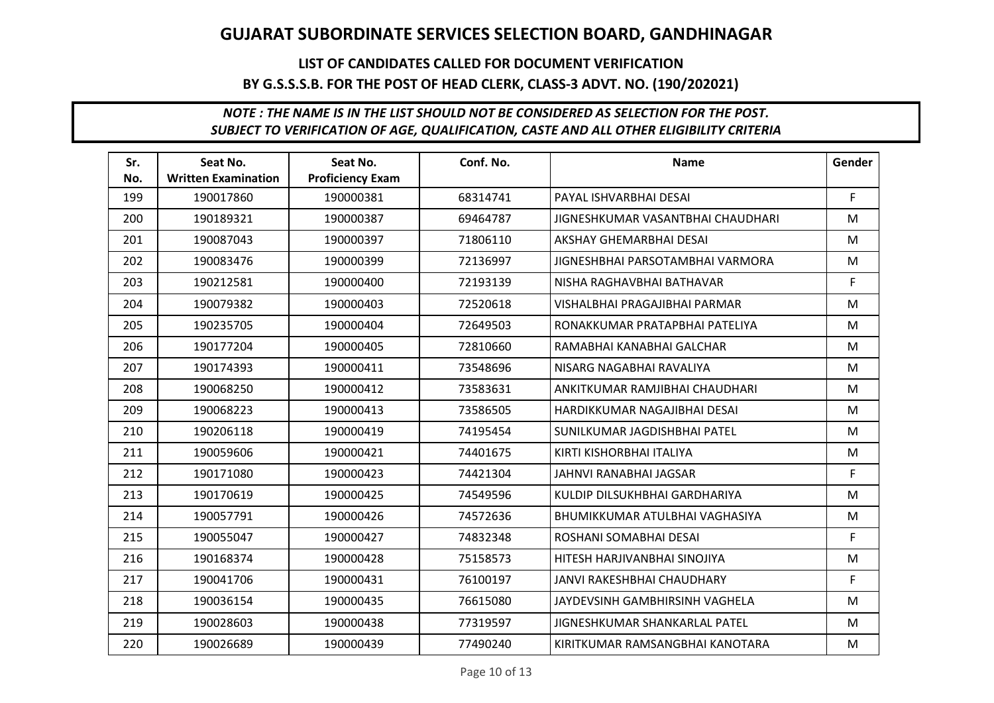## LIST OF CANDIDATES CALLED FOR DOCUMENT VERIFICATION BY G.S.S.S.B. FOR THE POST OF HEAD CLERK, CLASS-3 ADVT. NO. (190/202021)

| Sr.<br>No. | Seat No.<br><b>Written Examination</b> | Seat No.<br><b>Proficiency Exam</b> | Conf. No. | <b>Name</b>                       | Gender |
|------------|----------------------------------------|-------------------------------------|-----------|-----------------------------------|--------|
| 199        | 190017860                              | 190000381                           | 68314741  | PAYAL ISHVARBHAI DESAI            | F.     |
| 200        | 190189321                              | 190000387                           | 69464787  | JIGNESHKUMAR VASANTBHAI CHAUDHARI | M      |
| 201        | 190087043                              | 190000397                           | 71806110  | AKSHAY GHEMARBHAI DESAI           | M      |
| 202        | 190083476                              | 190000399                           | 72136997  | JIGNESHBHAI PARSOTAMBHAI VARMORA  | M      |
| 203        | 190212581                              | 190000400                           | 72193139  | NISHA RAGHAVBHAI BATHAVAR         | F      |
| 204        | 190079382                              | 190000403                           | 72520618  | VISHALBHAI PRAGAJIBHAI PARMAR     | M      |
| 205        | 190235705                              | 190000404                           | 72649503  | RONAKKUMAR PRATAPBHAI PATELIYA    | M      |
| 206        | 190177204                              | 190000405                           | 72810660  | RAMABHAI KANABHAI GALCHAR         | M      |
| 207        | 190174393                              | 190000411                           | 73548696  | NISARG NAGABHAI RAVALIYA          | M      |
| 208        | 190068250                              | 190000412                           | 73583631  | ANKITKUMAR RAMJIBHAI CHAUDHARI    | M      |
| 209        | 190068223                              | 190000413                           | 73586505  | HARDIKKUMAR NAGAJIBHAI DESAI      | M      |
| 210        | 190206118                              | 190000419                           | 74195454  | SUNILKUMAR JAGDISHBHAI PATEL      | M      |
| 211        | 190059606                              | 190000421                           | 74401675  | KIRTI KISHORBHAI ITALIYA          | M      |
| 212        | 190171080                              | 190000423                           | 74421304  | JAHNVI RANABHAI JAGSAR            | F.     |
| 213        | 190170619                              | 190000425                           | 74549596  | KULDIP DILSUKHBHAI GARDHARIYA     | M      |
| 214        | 190057791                              | 190000426                           | 74572636  | BHUMIKKUMAR ATULBHAI VAGHASIYA    | M      |
| 215        | 190055047                              | 190000427                           | 74832348  | ROSHANI SOMABHAI DESAI            | F.     |
| 216        | 190168374                              | 190000428                           | 75158573  | HITESH HARJIVANBHAI SINOJIYA      | M      |
| 217        | 190041706                              | 190000431                           | 76100197  | JANVI RAKESHBHAI CHAUDHARY        | F      |
| 218        | 190036154                              | 190000435                           | 76615080  | JAYDEVSINH GAMBHIRSINH VAGHELA    | M      |
| 219        | 190028603                              | 190000438                           | 77319597  | JIGNESHKUMAR SHANKARLAL PATEL     | M      |
| 220        | 190026689                              | 190000439                           | 77490240  | KIRITKUMAR RAMSANGBHAI KANOTARA   | M      |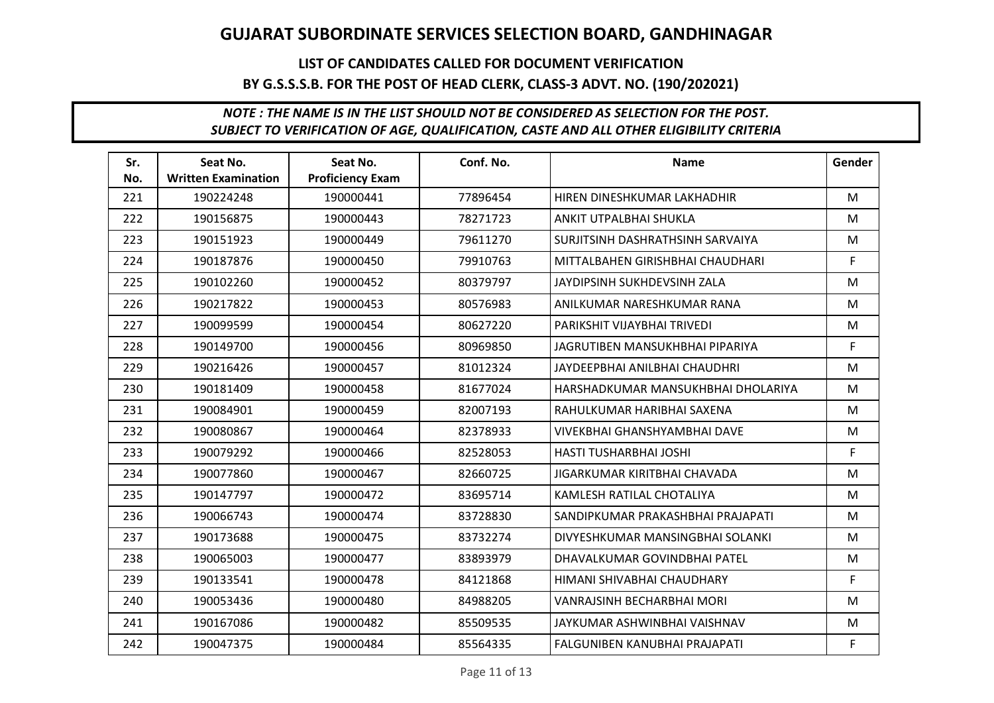## LIST OF CANDIDATES CALLED FOR DOCUMENT VERIFICATION BY G.S.S.S.B. FOR THE POST OF HEAD CLERK, CLASS-3 ADVT. NO. (190/202021)

| Sr.<br>No. | Seat No.<br><b>Written Examination</b> | Seat No.<br><b>Proficiency Exam</b> | Conf. No. | <b>Name</b>                        | Gender |
|------------|----------------------------------------|-------------------------------------|-----------|------------------------------------|--------|
| 221        | 190224248                              | 190000441                           | 77896454  | HIREN DINESHKUMAR LAKHADHIR        | M      |
| 222        | 190156875                              | 190000443                           | 78271723  | ANKIT UTPALBHAI SHUKLA             | M      |
| 223        | 190151923                              | 190000449                           | 79611270  | SURJITSINH DASHRATHSINH SARVAIYA   | M      |
| 224        | 190187876                              | 190000450                           | 79910763  | MITTALBAHEN GIRISHBHAI CHAUDHARI   | F.     |
| 225        | 190102260                              | 190000452                           | 80379797  | JAYDIPSINH SUKHDEVSINH ZALA        | M      |
| 226        | 190217822                              | 190000453                           | 80576983  | ANILKUMAR NARESHKUMAR RANA         | M      |
| 227        | 190099599                              | 190000454                           | 80627220  | PARIKSHIT VIJAYBHAI TRIVEDI        | M      |
| 228        | 190149700                              | 190000456                           | 80969850  | JAGRUTIBEN MANSUKHBHAI PIPARIYA    | F.     |
| 229        | 190216426                              | 190000457                           | 81012324  | JAYDEEPBHAI ANILBHAI CHAUDHRI      | M      |
| 230        | 190181409                              | 190000458                           | 81677024  | HARSHADKUMAR MANSUKHBHAI DHOLARIYA | M      |
| 231        | 190084901                              | 190000459                           | 82007193  | RAHULKUMAR HARIBHAI SAXENA         | M      |
| 232        | 190080867                              | 190000464                           | 82378933  | VIVEKBHAI GHANSHYAMBHAI DAVE       | M      |
| 233        | 190079292                              | 190000466                           | 82528053  | HASTI TUSHARBHAI JOSHI             | F.     |
| 234        | 190077860                              | 190000467                           | 82660725  | JIGARKUMAR KIRITBHAI CHAVADA       | M      |
| 235        | 190147797                              | 190000472                           | 83695714  | KAMLESH RATILAL CHOTALIYA          | M      |
| 236        | 190066743                              | 190000474                           | 83728830  | SANDIPKUMAR PRAKASHBHAI PRAJAPATI  | M      |
| 237        | 190173688                              | 190000475                           | 83732274  | DIVYESHKUMAR MANSINGBHAI SOLANKI   | M      |
| 238        | 190065003                              | 190000477                           | 83893979  | DHAVALKUMAR GOVINDBHAI PATEL       | M      |
| 239        | 190133541                              | 190000478                           | 84121868  | HIMANI SHIVABHAI CHAUDHARY         | F.     |
| 240        | 190053436                              | 190000480                           | 84988205  | VANRAJSINH BECHARBHAI MORI         | M      |
| 241        | 190167086                              | 190000482                           | 85509535  | JAYKUMAR ASHWINBHAI VAISHNAV       | M      |
| 242        | 190047375                              | 190000484                           | 85564335  | FALGUNIBEN KANUBHAI PRAJAPATI      | F.     |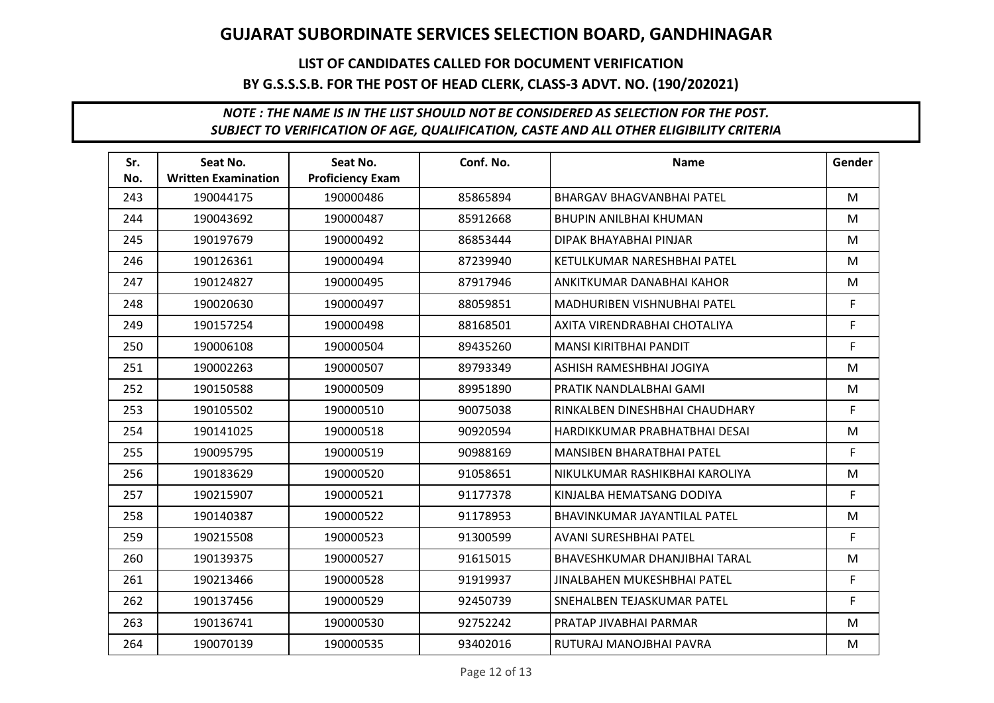## LIST OF CANDIDATES CALLED FOR DOCUMENT VERIFICATION BY G.S.S.S.B. FOR THE POST OF HEAD CLERK, CLASS-3 ADVT. NO. (190/202021)

| Sr.<br>No. | Seat No.<br><b>Written Examination</b> | Seat No.<br><b>Proficiency Exam</b> | Conf. No. | <b>Name</b>                      | Gender |
|------------|----------------------------------------|-------------------------------------|-----------|----------------------------------|--------|
| 243        | 190044175                              | 190000486                           | 85865894  | <b>BHARGAV BHAGVANBHAI PATEL</b> | M      |
| 244        | 190043692                              | 190000487                           | 85912668  | <b>BHUPIN ANILBHAI KHUMAN</b>    | M      |
| 245        | 190197679                              | 190000492                           | 86853444  | DIPAK BHAYABHAI PINJAR           | M      |
| 246        | 190126361                              | 190000494                           | 87239940  | KETULKUMAR NARESHBHAI PATEL      | M      |
| 247        | 190124827                              | 190000495                           | 87917946  | ANKITKUMAR DANABHAI KAHOR        | M      |
| 248        | 190020630                              | 190000497                           | 88059851  | MADHURIBEN VISHNUBHAI PATEL      | F      |
| 249        | 190157254                              | 190000498                           | 88168501  | AXITA VIRENDRABHAI CHOTALIYA     | F.     |
| 250        | 190006108                              | 190000504                           | 89435260  | MANSI KIRITBHAI PANDIT           | F.     |
| 251        | 190002263                              | 190000507                           | 89793349  | ASHISH RAMESHBHAI JOGIYA         | M      |
| 252        | 190150588                              | 190000509                           | 89951890  | PRATIK NANDLALBHAI GAMI          | M      |
| 253        | 190105502                              | 190000510                           | 90075038  | RINKALBEN DINESHBHAI CHAUDHARY   | F.     |
| 254        | 190141025                              | 190000518                           | 90920594  | HARDIKKUMAR PRABHATBHAI DESAI    | M      |
| 255        | 190095795                              | 190000519                           | 90988169  | MANSIBEN BHARATBHAI PATEL        | F.     |
| 256        | 190183629                              | 190000520                           | 91058651  | NIKULKUMAR RASHIKBHAI KAROLIYA   | M      |
| 257        | 190215907                              | 190000521                           | 91177378  | KINJALBA HEMATSANG DODIYA        | F.     |
| 258        | 190140387                              | 190000522                           | 91178953  | BHAVINKUMAR JAYANTILAL PATEL     | M      |
| 259        | 190215508                              | 190000523                           | 91300599  | AVANI SURESHBHAI PATEL           | F.     |
| 260        | 190139375                              | 190000527                           | 91615015  | BHAVESHKUMAR DHANJIBHAI TARAL    | M      |
| 261        | 190213466                              | 190000528                           | 91919937  | JINALBAHEN MUKESHBHAI PATEL      | F      |
| 262        | 190137456                              | 190000529                           | 92450739  | SNEHALBEN TEJASKUMAR PATEL       | F.     |
| 263        | 190136741                              | 190000530                           | 92752242  | PRATAP JIVABHAI PARMAR           | M      |
| 264        | 190070139                              | 190000535                           | 93402016  | RUTURAJ MANOJBHAI PAVRA          | M      |